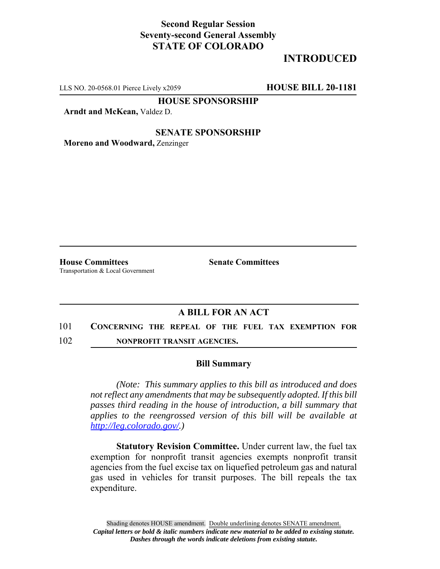## **Second Regular Session Seventy-second General Assembly STATE OF COLORADO**

# **INTRODUCED**

LLS NO. 20-0568.01 Pierce Lively x2059 **HOUSE BILL 20-1181**

**HOUSE SPONSORSHIP**

**Arndt and McKean,** Valdez D.

### **SENATE SPONSORSHIP**

**Moreno and Woodward,** Zenzinger

**House Committees Senate Committees** Transportation & Local Government

## **A BILL FOR AN ACT**

- 101 **CONCERNING THE REPEAL OF THE FUEL TAX EXEMPTION FOR**
- 102 **NONPROFIT TRANSIT AGENCIES.**

#### **Bill Summary**

*(Note: This summary applies to this bill as introduced and does not reflect any amendments that may be subsequently adopted. If this bill passes third reading in the house of introduction, a bill summary that applies to the reengrossed version of this bill will be available at http://leg.colorado.gov/.)*

**Statutory Revision Committee.** Under current law, the fuel tax exemption for nonprofit transit agencies exempts nonprofit transit agencies from the fuel excise tax on liquefied petroleum gas and natural gas used in vehicles for transit purposes. The bill repeals the tax expenditure.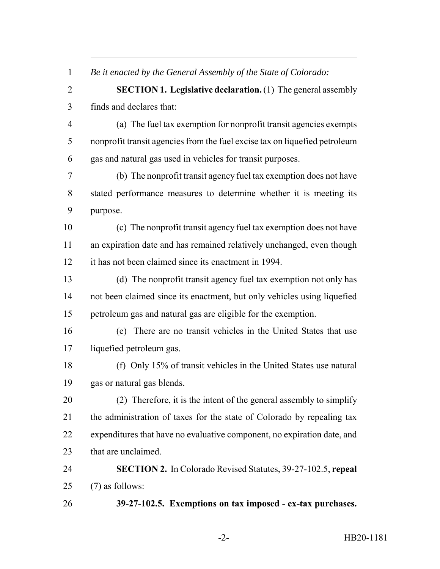*Be it enacted by the General Assembly of the State of Colorado:*

 **SECTION 1. Legislative declaration.** (1) The general assembly finds and declares that:

 (a) The fuel tax exemption for nonprofit transit agencies exempts nonprofit transit agencies from the fuel excise tax on liquefied petroleum gas and natural gas used in vehicles for transit purposes.

 (b) The nonprofit transit agency fuel tax exemption does not have stated performance measures to determine whether it is meeting its purpose.

 (c) The nonprofit transit agency fuel tax exemption does not have an expiration date and has remained relatively unchanged, even though it has not been claimed since its enactment in 1994.

 (d) The nonprofit transit agency fuel tax exemption not only has not been claimed since its enactment, but only vehicles using liquefied petroleum gas and natural gas are eligible for the exemption.

 (e) There are no transit vehicles in the United States that use liquefied petroleum gas.

 (f) Only 15% of transit vehicles in the United States use natural gas or natural gas blends.

 (2) Therefore, it is the intent of the general assembly to simplify the administration of taxes for the state of Colorado by repealing tax expenditures that have no evaluative component, no expiration date, and 23 that are unclaimed.

 **SECTION 2.** In Colorado Revised Statutes, 39-27-102.5, **repeal** (7) as follows:

**39-27-102.5. Exemptions on tax imposed - ex-tax purchases.**